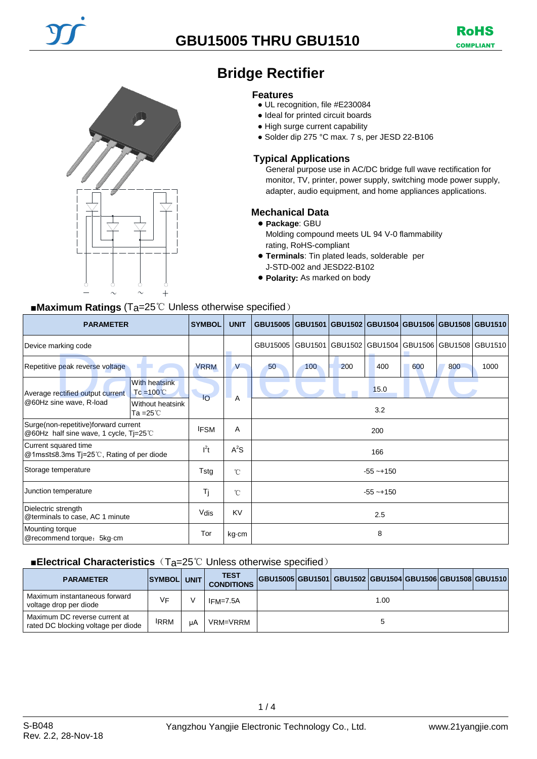

# **Bridge Rectifier**

#### **Features**

- UL recognition, file #E230084
- Ideal for printed circuit boards
- High surge current capability
- Solder dip 275 °C max. 7 s, per JESD 22-B106

#### **Typical Applications**

General purpose use in AC/DC bridge full wave rectification for monitor, TV, printer, power supply, switching mode power supply, adapter, audio equipment, and home appliances applications.

#### **Mechanical Data**

● **Package**: GBU Molding compound meets UL 94 V-0 flammability rating, RoHS-compliant

- **Terminals**: Tin plated leads, solderable per J-STD-002 and JESD22-B102
- **Polarity:** As marked on body

## ■**Maximum Ratings** (Ta=25℃ Unless otherwise specified)

| <b>PARAMETER</b>                                                              |                                             | <b>SYMBOL</b>   | <b>UNIT</b>  | GBU15005 GBU1501 GBU1502 GBU1504 GBU1506 GBU1508 GBU1510 |     |         |         |     |                         |      |
|-------------------------------------------------------------------------------|---------------------------------------------|-----------------|--------------|----------------------------------------------------------|-----|---------|---------|-----|-------------------------|------|
| Device marking code                                                           |                                             |                 |              | GBU15005 GBU1501                                         |     | GBU1502 | GBU1504 |     | GBU1506 GBU1508 GBU1510 |      |
| Repetitive peak reverse voltage                                               |                                             | <b>VRRM</b>     | V            | 50                                                       | 100 | 200     | 400     | 600 | 800                     | 1000 |
| Average rectified output current                                              | <b>With heatsink</b><br>$Tc = 100^{\circ}C$ | $\overline{10}$ | A            | 15.0                                                     |     |         |         |     |                         |      |
| @60Hz sine wave, R-load<br>Without heatsink<br>Ta = $25^{\circ}$ C            |                                             |                 |              | 3.2                                                      |     |         |         |     |                         |      |
| Surge(non-repetitive)forward current<br>@60Hz half sine wave, 1 cycle, Tj=25℃ |                                             | <b>IFSM</b>     | A            | 200                                                      |     |         |         |     |                         |      |
| Current squared time<br>@1ms≤t≤8.3ms Tj=25℃, Rating of per diode              |                                             | $l^2t$          | $A^2S$       | 166                                                      |     |         |         |     |                         |      |
| Storage temperature                                                           |                                             | Tstg            | $^{\circ}$ C | $-55 - +150$                                             |     |         |         |     |                         |      |
| Junction temperature                                                          |                                             | Tj              | $^{\circ}$ C | $-55 - +150$                                             |     |         |         |     |                         |      |
| Dielectric strength<br>@terminals to case, AC 1 minute                        |                                             | Vdis            | <b>KV</b>    | 2.5                                                      |     |         |         |     |                         |      |
| Mounting torque<br>@recommend torque: 5kg cm                                  |                                             | Tor             | kg cm        | 8                                                        |     |         |         |     |                         |      |

### ■**Electrical Characteristics** (T<sub>a</sub>=25℃ Unless otherwise specified)

| <b>PARAMETER</b>                                                     | <b>SYMBOL</b> | UNIT I | <b>TEST</b><br><b>CONDITIONS</b> | GBU15005 GBU1501 GBU1502  GBU1504  GBU1506  GBU1508  GBU1510 |  |      |  |  |
|----------------------------------------------------------------------|---------------|--------|----------------------------------|--------------------------------------------------------------|--|------|--|--|
| Maximum instantaneous forward<br>voltage drop per diode              | VF            |        | IFM=7.5A                         |                                                              |  | 1.00 |  |  |
| Maximum DC reverse current at<br>rated DC blocking voltage per diode | <b>IRRM</b>   | uA     | VRM=VRRM                         |                                                              |  |      |  |  |

 $1/4$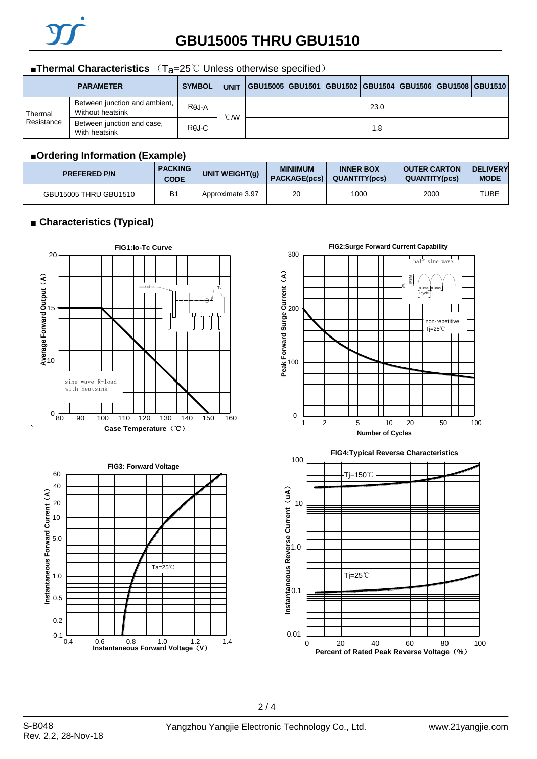

## **GBU15005 THRU GBU1510**

#### ■**Thermal Characteristics** (T<sub>a</sub>=25℃ Unless otherwise specified)

|            | <b>PARAMETER</b>                                  | <b>SYMBOL</b> | <b>UNIT</b> | GBU15005 GBU1501 GBU1502 GBU1504 GBU1506 GBU1508 GBU1510 |  |  |  |  |  |  |
|------------|---------------------------------------------------|---------------|-------------|----------------------------------------------------------|--|--|--|--|--|--|
| Thermal    | Between junction and ambient,<br>Without heatsink | $R\theta$ J-A | ℃W          | 23.0                                                     |  |  |  |  |  |  |
| Resistance | Between junction and case,<br>With heatsink       | Rej-C         |             | 1.8                                                      |  |  |  |  |  |  |

#### ■**Ordering Information (Example)**

| <b>PREFERED P/N</b>   | <b>PACKING</b><br><b>CODE</b> | <b>UNIT WEIGHT(g)</b> | <b>MINIIMUM</b><br><b>PACKAGE(pcs)</b> | <b>INNER BOX</b><br><b>QUANTITY(pcs)</b> | <b>OUTER CARTON</b><br><b>QUANTITY(pcs)</b> | <b>IDELIVERY</b><br><b>MODE</b> |
|-----------------------|-------------------------------|-----------------------|----------------------------------------|------------------------------------------|---------------------------------------------|---------------------------------|
| GBU15005 THRU GBU1510 | <b>B1</b>                     | Approximate 3.97      | 20                                     | 1000                                     | 2000                                        | <b>TUBE</b>                     |

### ■ **Characteristics (Typical)**

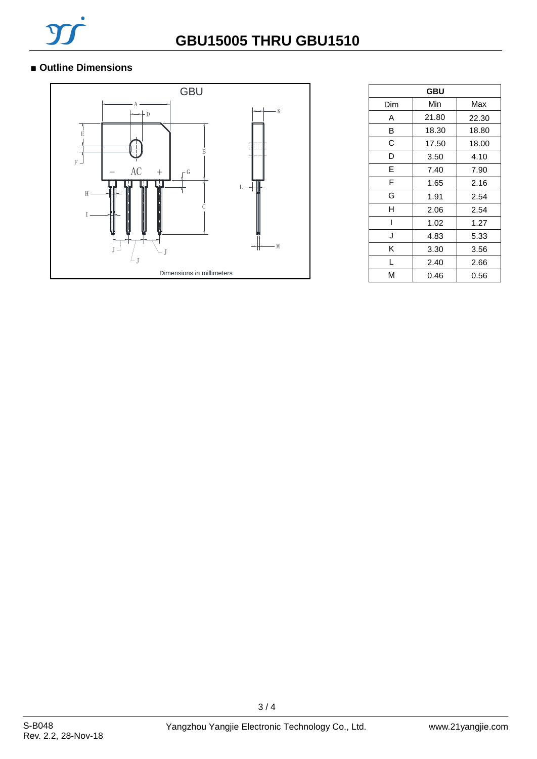

### ■ **Outline Dimensions**



| <b>GBU</b> |       |       |  |  |  |  |
|------------|-------|-------|--|--|--|--|
| Dim        | Min   | Max   |  |  |  |  |
| A          | 21.80 | 22.30 |  |  |  |  |
| В          | 18.30 | 18.80 |  |  |  |  |
| С          | 17.50 | 18.00 |  |  |  |  |
| D          | 3.50  | 4.10  |  |  |  |  |
| E          | 7.40  | 7.90  |  |  |  |  |
| F          | 1.65  | 2.16  |  |  |  |  |
| G          | 1.91  | 2.54  |  |  |  |  |
| н          | 2.06  | 2.54  |  |  |  |  |
|            | 1.02  | 1.27  |  |  |  |  |
| J          | 4.83  | 5.33  |  |  |  |  |
| Κ          | 3.30  | 3.56  |  |  |  |  |
| L          | 2.40  | 2.66  |  |  |  |  |
| м          | 0.46  | 0.56  |  |  |  |  |

3 / 4